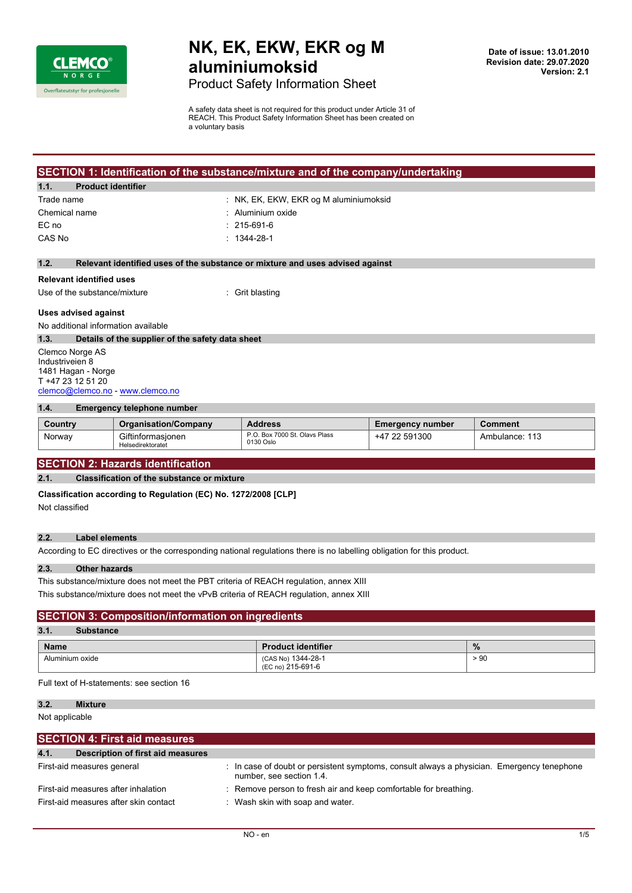

**Date of issue: 13.01.2010 Revision date: 29.07.2020 Version: 2.1**

Product Safety Information Sheet

A safety data sheet is not required for this product under Article 31 of REACH. This Product Safety Information Sheet has been created on a voluntary basis

| SECTION 1: Identification of the substance/mixture and of the company/undertaking |                                        |  |
|-----------------------------------------------------------------------------------|----------------------------------------|--|
| 1.1.<br><b>Product identifier</b>                                                 |                                        |  |
| Trade name                                                                        | : NK, EK, EKW, EKR og M aluminiumoksid |  |
| Chemical name                                                                     | $\therefore$ Aluminium oxide           |  |
| EC no                                                                             | $: 215-691-6$                          |  |
| CAS No                                                                            | $: 1344 - 28 - 1$                      |  |
|                                                                                   |                                        |  |

#### **1.2. Relevant identified uses of the substance or mixture and uses advised against**

#### **Relevant identified uses**

Use of the substance/mixture : Grit blasting

### **Uses advised against**

No additional information available

#### **1.3. Details of the supplier of the safety data sheet**

Clemco Norge AS Industriveien 8 1481 Hagan - Norge T +47 23 12 51 20 [clemco@clemco.no](mailto:clemco@clemco.no) -<www.clemco.no>

#### **1.4. Emergency telephone number**

| Country | <b>Organisation/Company</b>            | <b>Address</b>                             | <b>Emergency number</b> | Comment        |
|---------|----------------------------------------|--------------------------------------------|-------------------------|----------------|
| Norway  | Giftinformasionen<br>Helsedirektoratet | P.O. Box 7000 St. Olavs Plass<br>0130 Oslo | 22 591300<br>+47        | Ambulance: 113 |

### **SECTION 2: Hazards identification**

#### **2.1. Classification of the substance or mixture**

**Classification according to Regulation (EC) No. 1272/2008 [CLP]**

Not classified

## **2.2. Label elements**

According to EC directives or the corresponding national regulations there is no labelling obligation for this product.

#### **2.3. Other hazards**

This substance/mixture does not meet the PBT criteria of REACH regulation, annex XIII This substance/mixture does not meet the vPvB criteria of REACH regulation, annex XIII

### **SECTION 3: Composition/information on ingredients**

## **3.1. Substance**

| ----<br>.       |                                         |               |
|-----------------|-----------------------------------------|---------------|
| <b>Name</b>     | <b>Product identifier</b>               | $\frac{9}{6}$ |
| Aluminium oxide | (CAS No) 1344-28-1<br>(EC no) 215-691-6 | > 90          |

Full text of H-statements: see section 16

## **3.2. Mixture**

Not applicable

| <b>SECTION 4: First aid measures</b>      |                                                                                                                        |  |
|-------------------------------------------|------------------------------------------------------------------------------------------------------------------------|--|
| 4.1.<br>Description of first aid measures |                                                                                                                        |  |
| First-aid measures general                | : In case of doubt or persistent symptoms, consult always a physician. Emergency tenephone<br>number, see section 1.4. |  |
| First-aid measures after inhalation       | : Remove person to fresh air and keep comfortable for breathing.                                                       |  |
| First-aid measures after skin contact     | : Wash skin with soap and water.                                                                                       |  |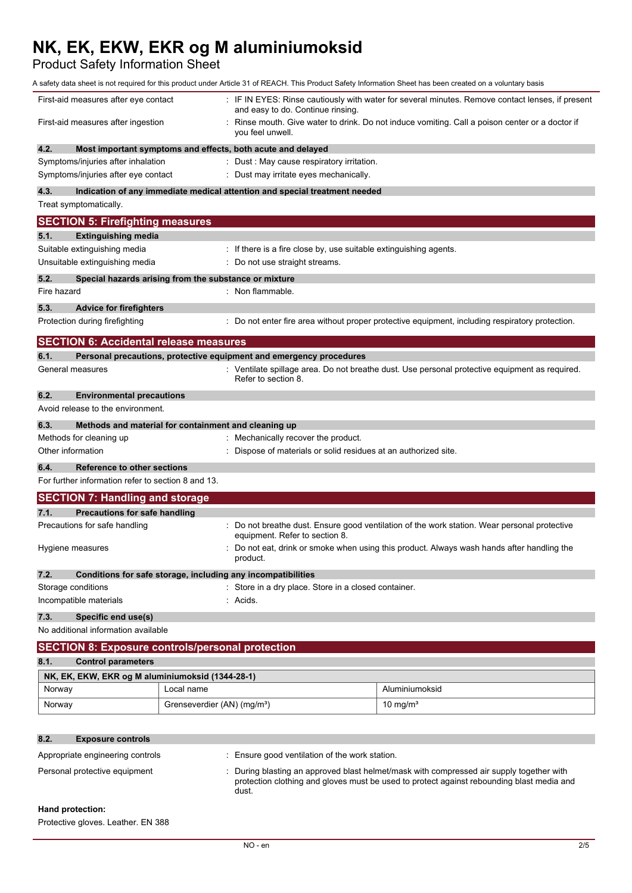Product Safety Information Sheet

|                                                    |                                                                            | A safety data sheet is not required for this product under Article 31 of REACH. This Product Safety Information Sheet has been created on a voluntary basis |
|----------------------------------------------------|----------------------------------------------------------------------------|-------------------------------------------------------------------------------------------------------------------------------------------------------------|
| First-aid measures after eye contact               | and easy to do. Continue rinsing.                                          | : IF IN EYES: Rinse cautiously with water for several minutes. Remove contact lenses, if present                                                            |
| First-aid measures after ingestion                 | you feel unwell.                                                           | Rinse mouth. Give water to drink. Do not induce vomiting. Call a poison center or a doctor if                                                               |
| 4.2.                                               | Most important symptoms and effects, both acute and delayed                |                                                                                                                                                             |
| Symptoms/injuries after inhalation                 | : Dust : May cause respiratory irritation.                                 |                                                                                                                                                             |
| Symptoms/injuries after eye contact                | : Dust may irritate eyes mechanically.                                     |                                                                                                                                                             |
| 4.3.                                               | Indication of any immediate medical attention and special treatment needed |                                                                                                                                                             |
| Treat symptomatically.                             |                                                                            |                                                                                                                                                             |
| <b>SECTION 5: Firefighting measures</b>            |                                                                            |                                                                                                                                                             |
| 5.1.<br><b>Extinguishing media</b>                 |                                                                            |                                                                                                                                                             |
| Suitable extinguishing media                       |                                                                            | : If there is a fire close by, use suitable extinguishing agents.                                                                                           |
| Unsuitable extinguishing media                     | : Do not use straight streams.                                             |                                                                                                                                                             |
| 5.2.                                               | Special hazards arising from the substance or mixture                      |                                                                                                                                                             |
| Fire hazard                                        | : Non flammable.                                                           |                                                                                                                                                             |
| 5.3.<br><b>Advice for firefighters</b>             |                                                                            |                                                                                                                                                             |
| Protection during firefighting                     |                                                                            | : Do not enter fire area without proper protective equipment, including respiratory protection.                                                             |
| <b>SECTION 6: Accidental release measures</b>      |                                                                            |                                                                                                                                                             |
| 6.1.                                               | Personal precautions, protective equipment and emergency procedures        |                                                                                                                                                             |
| General measures                                   | Refer to section 8.                                                        | : Ventilate spillage area. Do not breathe dust. Use personal protective equipment as required.                                                              |
| 6.2.<br><b>Environmental precautions</b>           |                                                                            |                                                                                                                                                             |
| Avoid release to the environment.                  |                                                                            |                                                                                                                                                             |
| 6.3.                                               | Methods and material for containment and cleaning up                       |                                                                                                                                                             |
| Methods for cleaning up                            | : Mechanically recover the product.                                        |                                                                                                                                                             |
| Other information                                  |                                                                            | Dispose of materials or solid residues at an authorized site.                                                                                               |
| 6.4.<br>Reference to other sections                |                                                                            |                                                                                                                                                             |
| For further information refer to section 8 and 13. |                                                                            |                                                                                                                                                             |
| <b>SECTION 7: Handling and storage</b>             |                                                                            |                                                                                                                                                             |
| <b>Precautions for safe handling</b><br>7.1.       |                                                                            |                                                                                                                                                             |
| Precautions for safe handling                      | equipment. Refer to section 8.                                             | : Do not breathe dust. Ensure good ventilation of the work station. Wear personal protective                                                                |
| Hygiene measures                                   | product.                                                                   | Do not eat, drink or smoke when using this product. Always wash hands after handling the                                                                    |
| 7.2.                                               | Conditions for safe storage, including any incompatibilities               |                                                                                                                                                             |
| Storage conditions                                 | : Store in a dry place. Store in a closed container.                       |                                                                                                                                                             |
| Incompatible materials                             | : Acids.                                                                   |                                                                                                                                                             |
| 7.3.<br>Specific end use(s)                        |                                                                            |                                                                                                                                                             |
| No additional information available                |                                                                            |                                                                                                                                                             |
|                                                    | <b>SECTION 8: Exposure controls/personal protection</b>                    |                                                                                                                                                             |
| 8.1.<br><b>Control parameters</b>                  |                                                                            |                                                                                                                                                             |
| NK, EK, EKW, EKR og M aluminiumoksid (1344-28-1)   |                                                                            |                                                                                                                                                             |
| Norway                                             | Local name                                                                 | Aluminiumoksid                                                                                                                                              |
| Norway                                             | Grenseverdier (AN) (mg/m <sup>3</sup> )                                    | 10 mg/ $m3$                                                                                                                                                 |

# **8.2. Exposure controls**

| Appropriate engineering controls | Ensure good ventilation of the work station.                                                                                                                                                   |
|----------------------------------|------------------------------------------------------------------------------------------------------------------------------------------------------------------------------------------------|
| Personal protective equipment    | : During blasting an approved blast helmet/mask with compressed air supply together with<br>protection clothing and gloves must be used to protect against rebounding blast media and<br>dust. |

# **Hand protection:**

Protective gloves. Leather. EN 388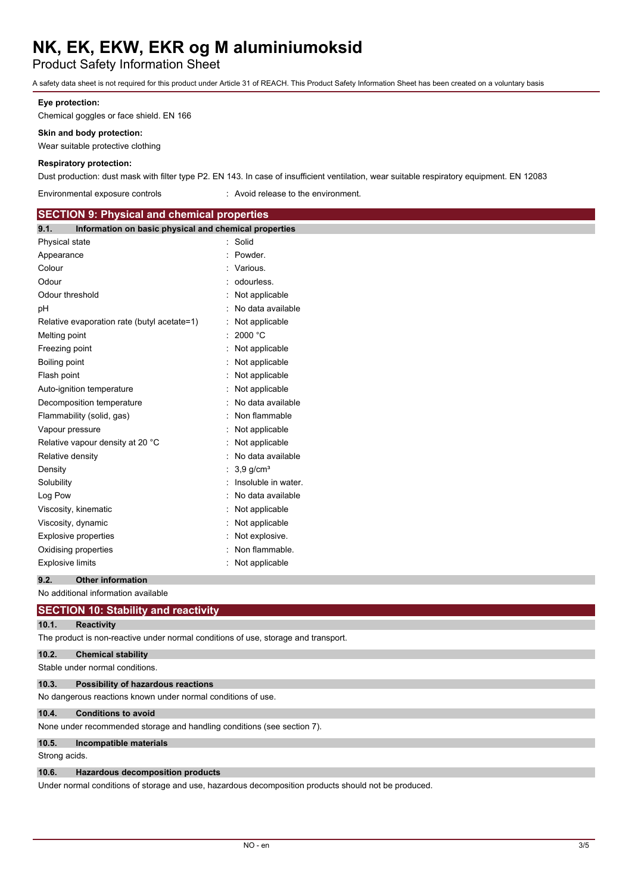Product Safety Information Sheet

A safety data sheet is not required for this product under Article 31 of REACH. This Product Safety Information Sheet has been created on a voluntary basis

#### **Eye protection:**

Chemical goggles or face shield. EN 166

#### **Skin and body protection:**

Wear suitable protective clothing

#### **Respiratory protection:**

Dust production: dust mask with filter type P2. EN 143. In case of insufficient ventilation, wear suitable respiratory equipment. EN 12083

Environmental exposure controls : Avoid release to the environment.

| <b>SECTION 9: Physical and chemical properties</b>            |                         |
|---------------------------------------------------------------|-------------------------|
| Information on basic physical and chemical properties<br>9.1. |                         |
| Physical state                                                | : Solid                 |
| Appearance                                                    | Powder.                 |
| Colour                                                        | : Various.              |
| Odour                                                         | : odourless.            |
| Odour threshold                                               | Not applicable          |
| pH                                                            | No data available       |
| Relative evaporation rate (butyl acetate=1)                   | : Not applicable        |
| Melting point                                                 | 2000 °C                 |
| Freezing point                                                | Not applicable          |
| Boiling point                                                 | : Not applicable        |
| Flash point                                                   | Not applicable          |
| Auto-ignition temperature                                     | Not applicable          |
| Decomposition temperature                                     | No data available       |
| Flammability (solid, gas)                                     | Non flammable           |
| Vapour pressure                                               | Not applicable          |
| Relative vapour density at 20 °C                              | Not applicable          |
| Relative density                                              | : No data available     |
| Density                                                       | $3,9$ g/cm <sup>3</sup> |
| Solubility                                                    | Insoluble in water.     |
| Log Pow                                                       | No data available       |
| Viscosity, kinematic                                          | Not applicable          |
| Viscosity, dynamic                                            | Not applicable          |
| <b>Explosive properties</b>                                   | : Not explosive.        |
| Oxidising properties                                          | Non flammable.          |
| <b>Explosive limits</b>                                       | : Not applicable        |
| 9.2.<br><b>Other information</b>                              |                         |

No additional information available

# **SECTION 10: Stability and reactivity**

**10.1. Reactivity**

The product is non-reactive under normal conditions of use, storage and transport.

| 10.2. | <b>Chemical stability</b>                                               |
|-------|-------------------------------------------------------------------------|
|       | Stable under normal conditions.                                         |
| 10.3. | <b>Possibility of hazardous reactions</b>                               |
|       | No dangerous reactions known under normal conditions of use.            |
| 10.4. | <b>Conditions to avoid</b>                                              |
|       | None under recommended storage and handling conditions (see section 7). |

# **10.5. Incompatible materials**

Strong acids.

### **10.6. Hazardous decomposition products**

Under normal conditions of storage and use, hazardous decomposition products should not be produced.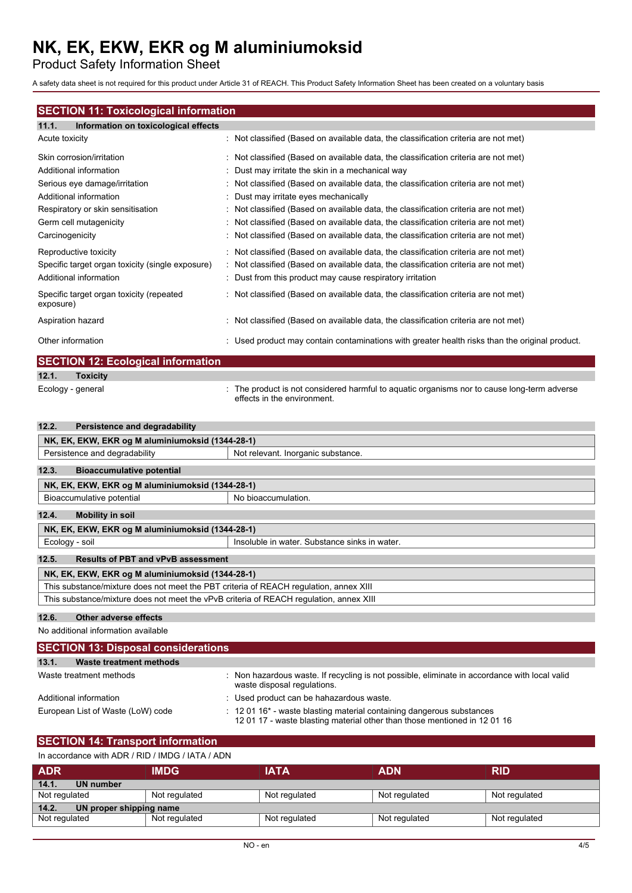Product Safety Information Sheet

A safety data sheet is not required for this product under Article 31 of REACH. This Product Safety Information Sheet has been created on a voluntary basis

# **SECTION 11: Toxicological information**

| Information on toxicological effects<br>11.1.         |                                                                                              |
|-------------------------------------------------------|----------------------------------------------------------------------------------------------|
| Acute toxicity                                        | : Not classified (Based on available data, the classification criteria are not met)          |
| Skin corrosion/irritation                             | : Not classified (Based on available data, the classification criteria are not met)          |
| Additional information                                | : Dust may irritate the skin in a mechanical way                                             |
| Serious eye damage/irritation                         | : Not classified (Based on available data, the classification criteria are not met)          |
| Additional information                                | : Dust may irritate eyes mechanically                                                        |
| Respiratory or skin sensitisation                     | : Not classified (Based on available data, the classification criteria are not met)          |
| Germ cell mutagenicity                                | : Not classified (Based on available data, the classification criteria are not met)          |
| Carcinogenicity                                       | : Not classified (Based on available data, the classification criteria are not met)          |
| Reproductive toxicity                                 | : Not classified (Based on available data, the classification criteria are not met)          |
| Specific target organ toxicity (single exposure)      | : Not classified (Based on available data, the classification criteria are not met)          |
| Additional information                                | : Dust from this product may cause respiratory irritation                                    |
| Specific target organ toxicity (repeated<br>exposure) | : Not classified (Based on available data, the classification criteria are not met)          |
| Aspiration hazard                                     | : Not classified (Based on available data, the classification criteria are not met)          |
| Other information                                     | Used product may contain contaminations with greater health risks than the original product. |
| <b>CECTION</b> 40. Each also links would as           |                                                                                              |

|       | <b>SECTION 12: Ecological information</b> |                                                                                                                            |
|-------|-------------------------------------------|----------------------------------------------------------------------------------------------------------------------------|
| 12.1. | <b>Toxicity</b>                           |                                                                                                                            |
|       | Ecology - general                         | : The product is not considered harmful to aquatic organisms nor to cause long-term adverse<br>effects in the environment. |

| Persistence and degradability<br>12.2.                                                 |                                               |  |
|----------------------------------------------------------------------------------------|-----------------------------------------------|--|
| NK, EK, EKW, EKR og M aluminiumoksid (1344-28-1)                                       |                                               |  |
| Persistence and degradability<br>Not relevant. Inorganic substance.                    |                                               |  |
| 12.3.<br><b>Bioaccumulative potential</b>                                              |                                               |  |
| NK, EK, EKW, EKR og M aluminiumoksid (1344-28-1)                                       |                                               |  |
| Bioaccumulative potential                                                              | No bioaccumulation.                           |  |
| 12.4.<br><b>Mobility in soil</b>                                                       |                                               |  |
| NK, EK, EKW, EKR og M aluminiumoksid (1344-28-1)                                       |                                               |  |
| Ecology - soil                                                                         | Insoluble in water. Substance sinks in water. |  |
| 12.5.<br><b>Results of PBT and vPvB assessment</b>                                     |                                               |  |
| NK, EK, EKW, EKR og M aluminiumoksid (1344-28-1)                                       |                                               |  |
| This substance/mixture does not meet the PBT criteria of REACH regulation, annex XIII  |                                               |  |
| This substance/mixture does not meet the vPvB criteria of REACH requlation, annex XIII |                                               |  |

### **12.6. Other adverse effects**

No additional information available

| <b>SECTION 13: Disposal considerations</b> |                                                                                                                                                                    |  |
|--------------------------------------------|--------------------------------------------------------------------------------------------------------------------------------------------------------------------|--|
| 13.1.<br>Waste treatment methods           |                                                                                                                                                                    |  |
| Waste treatment methods                    | : Non hazardous waste. If recycling is not possible, eliminate in accordance with local valid<br>waste disposal regulations.                                       |  |
| Additional information                     | : Used product can be hahazardous waste.                                                                                                                           |  |
| European List of Waste (LoW) code          | $\pm$ 12 01 16 <sup>*</sup> - waste blasting material containing dangerous substances<br>12 01 17 - waste blasting material other than those mentioned in 12 01 16 |  |

# **SECTION 14: Transport information**

| In accordance with ADR / RID / IMDG / IATA / ADN |  |  |
|--------------------------------------------------|--|--|
|                                                  |  |  |

| <b>ADR</b>                       | <b>IMDG</b>   | <b>IATA</b>   | <b>ADN</b>    | <b>RID</b>    |
|----------------------------------|---------------|---------------|---------------|---------------|
| 14.1.<br>UN number               |               |               |               |               |
| Not regulated                    | Not regulated | Not regulated | Not regulated | Not regulated |
| 14.2.<br>UN proper shipping name |               |               |               |               |
| Not regulated                    | Not regulated | Not regulated | Not regulated | Not regulated |